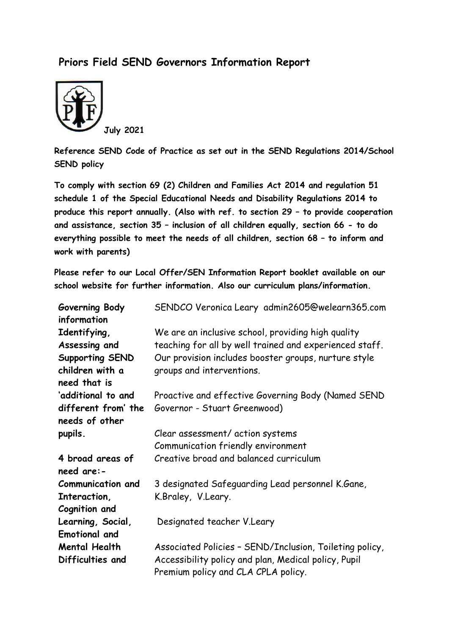## **Priors Field SEND Governors Information Report**



**Reference SEND Code of Practice as set out in the SEND Regulations 2014/School SEND policy**

**To comply with section 69 (2) Children and Families Act 2014 and regulation 51 schedule 1 of the Special Educational Needs and Disability Regulations 2014 to produce this report annually. (Also with ref. to section 29 – to provide cooperation and assistance, section 35 – inclusion of all children equally, section 66 - to do everything possible to meet the needs of all children, section 68 – to inform and work with parents)**

**Please refer to our Local Offer/SEN Information Report booklet available on our school website for further information. Also our curriculum plans/information.**

| Governing Body<br>information | SENDCO Veronica Leary admin2605@welearn365.com                                              |
|-------------------------------|---------------------------------------------------------------------------------------------|
| Identifying,                  | We are an inclusive school, providing high quality                                          |
| Assessing and                 | teaching for all by well trained and experienced staff.                                     |
| Supporting SEND               | Our provision includes booster groups, nurture style                                        |
| children with a               | groups and interventions.                                                                   |
| need that is                  |                                                                                             |
| 'additional to and            | Proactive and effective Governing Body (Named SEND                                          |
| different from' the           | Governor - Stuart Greenwood)                                                                |
| needs of other                |                                                                                             |
| pupils.                       | Clear assessment/ action systems                                                            |
|                               | Communication friendly environment                                                          |
| 4 broad areas of              | Creative broad and balanced curriculum                                                      |
| need are:-                    |                                                                                             |
| <b>Communication and</b>      | 3 designated Safeguarding Lead personnel K.Gane,                                            |
| Interaction,                  | K.Braley, V.Leary.                                                                          |
| Cognition and                 |                                                                                             |
| Learning, Social,             | Designated teacher V.Leary                                                                  |
| <b>Emotional and</b>          |                                                                                             |
| Mental Health                 | Associated Policies - SEND/Inclusion, Toileting policy,                                     |
| Difficulties and              | Accessibility policy and plan, Medical policy, Pupil<br>Premium policy and CLA CPLA policy. |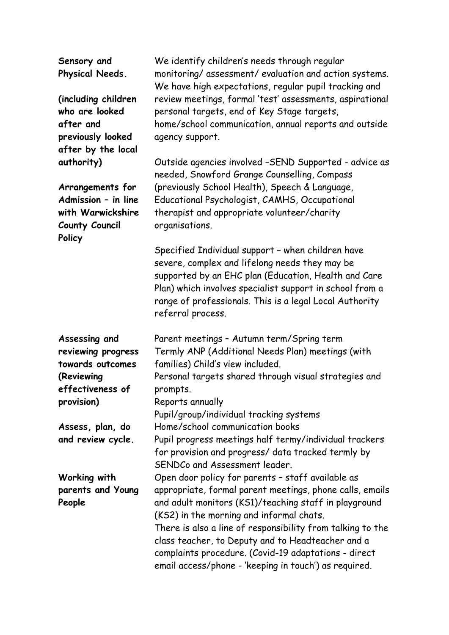**Sensory and Physical Needs.**

**(including children who are looked after and previously looked after by the local authority)**

**Arrangements for Admission – in line with Warwickshire County Council Policy**

**Assessing and reviewing progress towards outcomes (Reviewing effectiveness of provision)**

**Assess, plan, do and review cycle.**

**Working with parents and Young People**

We identify children's needs through regular monitoring/ assessment/ evaluation and action systems. We have high expectations, regular pupil tracking and review meetings, formal 'test' assessments, aspirational personal targets, end of Key Stage targets, home/school communication, annual reports and outside agency support.

Outside agencies involved –SEND Supported - advice as needed, Snowford Grange Counselling, Compass (previously School Health), Speech & Language, Educational Psychologist, CAMHS, Occupational therapist and appropriate volunteer/charity organisations.

Specified Individual support – when children have severe, complex and lifelong needs they may be supported by an EHC plan (Education, Health and Care Plan) which involves specialist support in school from a range of professionals. This is a legal Local Authority referral process.

Parent meetings – Autumn term/Spring term Termly ANP (Additional Needs Plan) meetings (with families) Child's view included. Personal targets shared through visual strategies and prompts. Reports annually Pupil/group/individual tracking systems Home/school communication books Pupil progress meetings half termy/individual trackers for provision and progress/ data tracked termly by SENDCo and Assessment leader. Open door policy for parents – staff available as appropriate, formal parent meetings, phone calls, emails and adult monitors (KS1)/teaching staff in playground (KS2) in the morning and informal chats. There is also a line of responsibility from talking to the class teacher, to Deputy and to Headteacher and a complaints procedure. (Covid-19 adaptations - direct email access/phone - 'keeping in touch') as required.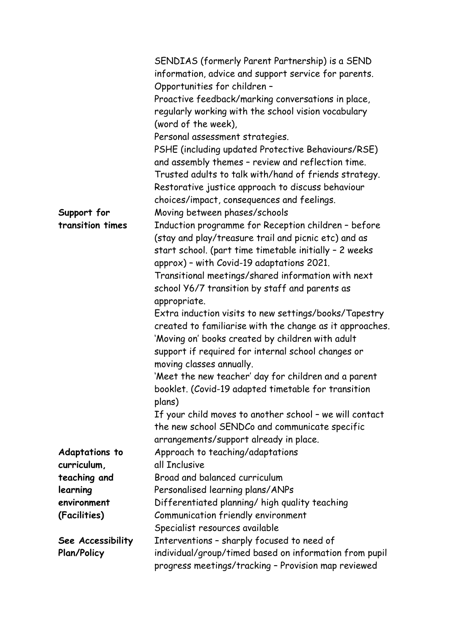|                       | SENDIAS (formerly Parent Partnership) is a SEND          |
|-----------------------|----------------------------------------------------------|
|                       | information, advice and support service for parents.     |
|                       | Opportunities for children -                             |
|                       | Proactive feedback/marking conversations in place,       |
|                       | regularly working with the school vision vocabulary      |
|                       | (word of the week),                                      |
|                       |                                                          |
|                       | Personal assessment strategies.                          |
|                       | PSHE (including updated Protective Behaviours/RSE)       |
|                       | and assembly themes - review and reflection time.        |
|                       | Trusted adults to talk with/hand of friends strategy.    |
|                       | Restorative justice approach to discuss behaviour        |
|                       | choices/impact, consequences and feelings.               |
| Support for           | Moving between phases/schools                            |
| transition times      | Induction programme for Reception children - before      |
|                       | (stay and play/treasure trail and picnic etc) and as     |
|                       | start school. (part time timetable initially - 2 weeks   |
|                       | approx) - with Covid-19 adaptations 2021.                |
|                       | Transitional meetings/shared information with next       |
|                       | school Y6/7 transition by staff and parents as           |
|                       | appropriate.                                             |
|                       | Extra induction visits to new settings/books/Tapestry    |
|                       | created to familiarise with the change as it approaches. |
|                       | 'Moving on' books created by children with adult         |
|                       | support if required for internal school changes or       |
|                       | moving classes annually.                                 |
|                       | 'Meet the new teacher' day for children and a parent     |
|                       | booklet. (Covid-19 adapted timetable for transition      |
|                       | plans)                                                   |
|                       | If your child moves to another school - we will contact  |
|                       | the new school SENDCo and communicate specific           |
|                       | arrangements/support already in place.                   |
| <b>Adaptations to</b> | Approach to teaching/adaptations                         |
| curriculum,           | all Inclusive                                            |
| teaching and          | Broad and balanced curriculum                            |
| learning              | Personalised learning plans/ANPs                         |
| environment           | Differentiated planning/ high quality teaching           |
| (Facilities)          | Communication friendly environment                       |
|                       | Specialist resources available                           |
| See Accessibility     | Interventions - sharply focused to need of               |
| <b>Plan/Policy</b>    | individual/group/timed based on information from pupil   |
|                       | progress meetings/tracking - Provision map reviewed      |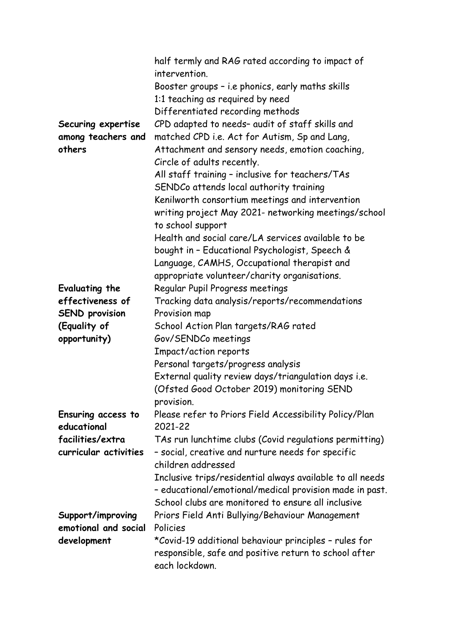|                       | half termly and RAG rated according to impact of<br>intervention. |
|-----------------------|-------------------------------------------------------------------|
|                       | Booster groups - i.e phonics, early maths skills                  |
|                       | 1:1 teaching as required by need                                  |
|                       |                                                                   |
|                       | Differentiated recording methods                                  |
| Securing expertise    | CPD adapted to needs- audit of staff skills and                   |
| among teachers and    | matched CPD i.e. Act for Autism, Sp and Lang,                     |
| others                | Attachment and sensory needs, emotion coaching,                   |
|                       | Circle of adults recently.                                        |
|                       | All staff training - inclusive for teachers/TAs                   |
|                       | SENDCo attends local authority training                           |
|                       | Kenilworth consortium meetings and intervention                   |
|                       | writing project May 2021- networking meetings/school              |
|                       | to school support                                                 |
|                       | Health and social care/LA services available to be                |
|                       | bought in - Educational Psychologist, Speech &                    |
|                       | Language, CAMHS, Occupational therapist and                       |
|                       | appropriate volunteer/charity organisations.                      |
| Evaluating the        | Regular Pupil Progress meetings                                   |
| effectiveness of      | Tracking data analysis/reports/recommendations                    |
| <b>SEND provision</b> | Provision map                                                     |
| (Equality of          | School Action Plan targets/RAG rated                              |
| opportunity)          | Gov/SENDCo meetings                                               |
|                       | Impact/action reports                                             |
|                       | Personal targets/progress analysis                                |
|                       |                                                                   |
|                       | External quality review days/triangulation days i.e.              |
|                       | (Ofsted Good October 2019) monitoring SEND                        |
|                       | provision.                                                        |
| Ensuring access to    | Please refer to Priors Field Accessibility Policy/Plan            |
| educational           | 2021-22                                                           |
| facilities/extra      | TAs run lunchtime clubs (Covid regulations permitting)            |
| curricular activities | - social, creative and nurture needs for specific                 |
|                       | children addressed                                                |
|                       | Inclusive trips/residential always available to all needs         |
|                       | - educational/emotional/medical provision made in past.           |
|                       | School clubs are monitored to ensure all inclusive                |
| Support/improving     | Priors Field Anti Bullying/Behaviour Management                   |
| emotional and social  | Policies                                                          |
| development           | *Covid-19 additional behaviour principles - rules for             |
|                       | responsible, safe and positive return to school after             |
|                       | each lockdown.                                                    |